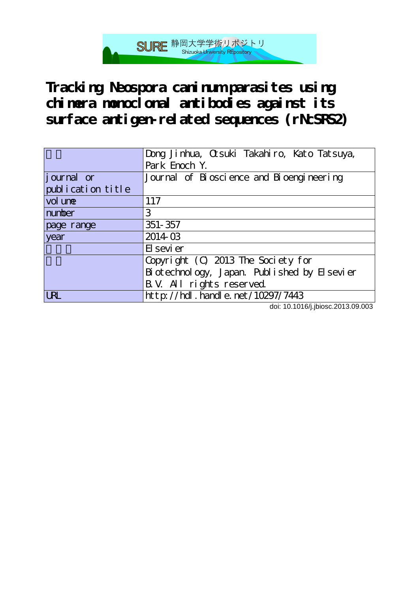**Tracking Neospora caninum parasites using chimera monoclonal antibodies against its surface antigen-related sequences (rNcSRS2)**

SURE 静岡大学学術リポジトリ

|                    | Dong Jinhua, Cusuki Takahiro, Kato Tatsuya,  |
|--------------------|----------------------------------------------|
|                    | Park Enoch Y.                                |
| <i>j</i> ournal or | Journal of Bioscience and Bioengineering     |
| publication title  |                                              |
| vol une            | 117                                          |
| number             | 3                                            |
| page range         | 351-357                                      |
| year               | 201403                                       |
|                    | El sevi er                                   |
|                    | Copyright (C) 2013 The Society for           |
|                    | Bi otechnology, Japan. Published by Elsevier |
|                    | B. V. All rights reserved.                   |
| <b>URL</b>         | http://hdl.handle.net/10297/7443             |

doi: 10.1016/j.jbiosc.2013.09.003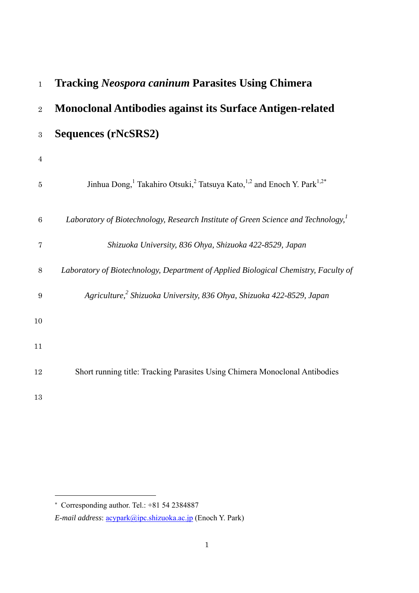| $\mathbf{1}$     | <b>Tracking Neospora caninum Parasites Using Chimera</b>                                                               |
|------------------|------------------------------------------------------------------------------------------------------------------------|
| $\overline{2}$   | <b>Monoclonal Antibodies against its Surface Antigen-related</b>                                                       |
| $\,3$            | Sequences (rNcSRS2)                                                                                                    |
| $\overline{4}$   |                                                                                                                        |
| $\overline{5}$   | Jinhua Dong, <sup>1</sup> Takahiro Otsuki, <sup>2</sup> Tatsuya Kato, <sup>1,2</sup> and Enoch Y. Park <sup>1,2*</sup> |
| $\,6$            | Laboratory of Biotechnology, Research Institute of Green Science and Technology, <sup>1</sup>                          |
| 7                | Shizuoka University, 836 Ohya, Shizuoka 422-8529, Japan                                                                |
| $8\,$            | Laboratory of Biotechnology, Department of Applied Biological Chemistry, Faculty of                                    |
| $\boldsymbol{9}$ | Agriculture, <sup>2</sup> Shizuoka University, 836 Ohya, Shizuoka 422-8529, Japan                                      |
| 10               |                                                                                                                        |
| 11               |                                                                                                                        |
| 12               | Short running title: Tracking Parasites Using Chimera Monoclonal Antibodies                                            |
| 13               |                                                                                                                        |

-

<sup>\*</sup> Corresponding author. Tel.: +81 54 2384887

*E-mail address*: acypark@ipc.shizuoka.ac.jp (Enoch Y. Park)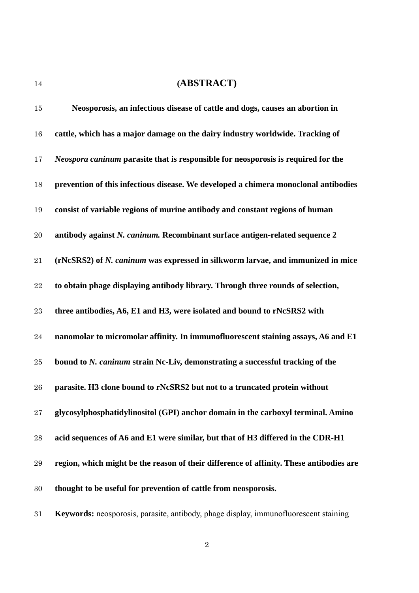# **(ABSTRACT)**

| 15        | Neosporosis, an infectious disease of cattle and dogs, causes an abortion in             |
|-----------|------------------------------------------------------------------------------------------|
| 16        | cattle, which has a major damage on the dairy industry worldwide. Tracking of            |
| 17        | <i>Neospora caninum</i> parasite that is responsible for neosporosis is required for the |
| 18        | prevention of this infectious disease. We developed a chimera monoclonal antibodies      |
| 19        | consist of variable regions of murine antibody and constant regions of human             |
| 20        | antibody against N. caninum. Recombinant surface antigen-related sequence 2              |
| 21        | (rNcSRS2) of N. caninum was expressed in silkworm larvae, and immunized in mice          |
| $\bf{22}$ | to obtain phage displaying antibody library. Through three rounds of selection,          |
| 23        | three antibodies, A6, E1 and H3, were isolated and bound to rNcSRS2 with                 |
| $\bf 24$  | nanomolar to micromolar affinity. In immunofluorescent staining assays, A6 and E1        |
| 25        | bound to N. caninum strain Nc-Liv, demonstrating a successful tracking of the            |
| 26        | parasite. H3 clone bound to rNcSRS2 but not to a truncated protein without               |
| 27        | glycosylphosphatidylinositol (GPI) anchor domain in the carboxyl terminal. Amino         |
| 28        | acid sequences of A6 and E1 were similar, but that of H3 differed in the CDR-H1          |
| 29        | region, which might be the reason of their difference of affinity. These antibodies are  |
| $30\,$    | thought to be useful for prevention of cattle from neosporosis.                          |
| 31        | Keywords: neosporosis, parasite, antibody, phage display, immunofluorescent staining     |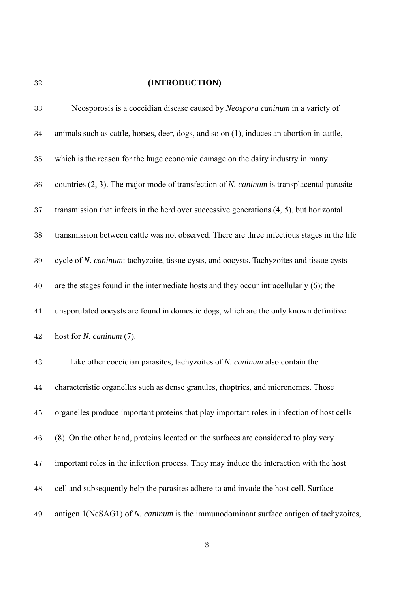# **(INTRODUCTION)**

| 33     | Neosporosis is a coccidian disease caused by <i>Neospora caninum</i> in a variety of                |
|--------|-----------------------------------------------------------------------------------------------------|
| 34     | animals such as cattle, horses, deer, dogs, and so on (1), induces an abortion in cattle,           |
| $35\,$ | which is the reason for the huge economic damage on the dairy industry in many                      |
| 36     | countries $(2, 3)$ . The major mode of transfection of N. <i>caninum</i> is transplacental parasite |
| 37     | transmission that infects in the herd over successive generations $(4, 5)$ , but horizontal         |
| 38     | transmission between cattle was not observed. There are three infectious stages in the life         |
| 39     | cycle of N. caninum: tachyzoite, tissue cysts, and oocysts. Tachyzoites and tissue cysts            |
| 40     | are the stages found in the intermediate hosts and they occur intracellularly $(6)$ ; the           |
| 41     | unsporulated oocysts are found in domestic dogs, which are the only known definitive                |
| 42     | host for <i>N. caninum</i> (7).                                                                     |
| 43     | Like other coccidian parasites, tachyzoites of N. caninum also contain the                          |
| 44     | characteristic organelles such as dense granules, rhoptries, and micronemes. Those                  |
| 45     | organelles produce important proteins that play important roles in infection of host cells          |
| 46     | (8). On the other hand, proteins located on the surfaces are considered to play very                |
| 47     | important roles in the infection process. They may induce the interaction with the host             |
| 48     | cell and subsequently help the parasites adhere to and invade the host cell. Surface                |
| 49     | antigen 1(NcSAG1) of N. caninum is the immunodominant surface antigen of tachyzoites,               |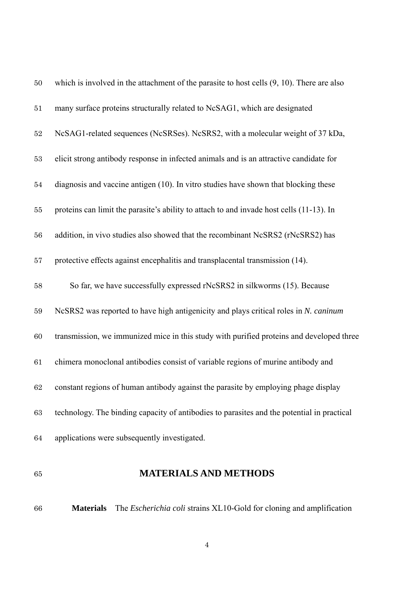| $50\,$ | which is involved in the attachment of the parasite to host cells $(9, 10)$ . There are also |
|--------|----------------------------------------------------------------------------------------------|
| 51     | many surface proteins structurally related to NcSAG1, which are designated                   |
| $52\,$ | NcSAG1-related sequences (NcSRSes). NcSRS2, with a molecular weight of 37 kDa,               |
| 53     | elicit strong antibody response in infected animals and is an attractive candidate for       |
| $54\,$ | diagnosis and vaccine antigen (10). In vitro studies have shown that blocking these          |
| 55     | proteins can limit the parasite's ability to attach to and invade host cells (11-13). In     |
| 56     | addition, in vivo studies also showed that the recombinant NcSRS2 (rNcSRS2) has              |
| 57     | protective effects against encephalitis and transplacental transmission (14).                |
| 58     | So far, we have successfully expressed rNcSRS2 in silkworms (15). Because                    |
| 59     | NcSRS2 was reported to have high antigenicity and plays critical roles in N. caninum         |
| 60     | transmission, we immunized mice in this study with purified proteins and developed three     |
| 61     | chimera monoclonal antibodies consist of variable regions of murine antibody and             |
| 62     | constant regions of human antibody against the parasite by employing phage display           |
| 63     | technology. The binding capacity of antibodies to parasites and the potential in practical   |
| 64     | applications were subsequently investigated.                                                 |

## **MATERIALS AND METHODS**

**Materials** The *Escherichia coli* strains XL10-Gold for cloning and amplification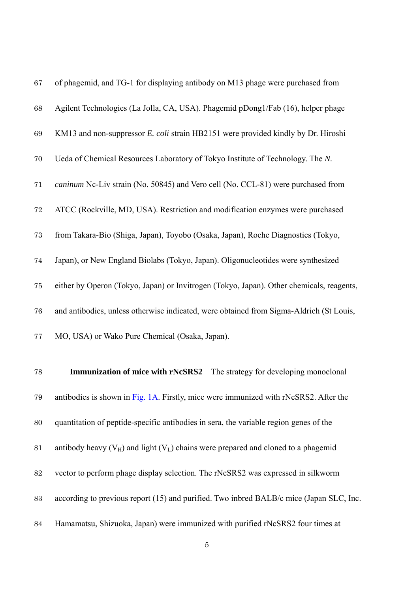| 67 | of phagemid, and TG-1 for displaying antibody on M13 phage were purchased from           |
|----|------------------------------------------------------------------------------------------|
| 68 | Agilent Technologies (La Jolla, CA, USA). Phagemid pDong1/Fab (16), helper phage         |
| 69 | KM13 and non-suppressor E. coli strain HB2151 were provided kindly by Dr. Hiroshi        |
| 70 | Ueda of Chemical Resources Laboratory of Tokyo Institute of Technology. The N.           |
| 71 | caninum Nc-Liv strain (No. 50845) and Vero cell (No. CCL-81) were purchased from         |
| 72 | ATCC (Rockville, MD, USA). Restriction and modification enzymes were purchased           |
| 73 | from Takara-Bio (Shiga, Japan), Toyobo (Osaka, Japan), Roche Diagnostics (Tokyo,         |
| 74 | Japan), or New England Biolabs (Tokyo, Japan). Oligonucleotides were synthesized         |
| 75 | either by Operon (Tokyo, Japan) or Invitrogen (Tokyo, Japan). Other chemicals, reagents, |
| 76 | and antibodies, unless otherwise indicated, were obtained from Sigma-Aldrich (St Louis,  |
| 77 | MO, USA) or Wako Pure Chemical (Osaka, Japan).                                           |
|    |                                                                                          |
| 78 | <b>Immunization of mice with rNcSRS2</b><br>The strategy for developing monoclonal       |
| 79 | antibodies is shown in Fig. 1A. Firstly, mice were immunized with rNcSRS2. After the     |
| 80 | quantitation of peptide-specific antibodies in sera, the variable region genes of the    |
| 81 | antibody heavy $(V_H)$ and light $(V_I)$ chains were prepared and cloned to a phagemid   |
| 82 | vector to perform phage display selection. The rNcSRS2 was expressed in silkworm         |
| 83 | according to previous report (15) and purified. Two inbred BALB/c mice (Japan SLC, Inc.  |
| 84 | Hamamatsu, Shizuoka, Japan) were immunized with purified rNcSRS2 four times at           |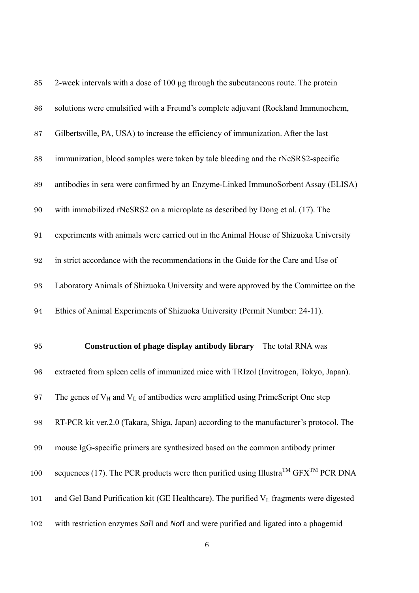| 85                | 2-week intervals with a dose of 100 µg through the subcutaneous route. The protein                         |
|-------------------|------------------------------------------------------------------------------------------------------------|
| $86\,$            | solutions were emulsified with a Freund's complete adjuvant (Rockland Immunochem,                          |
| $87\,$            | Gilbertsville, PA, USA) to increase the efficiency of immunization. After the last                         |
| 88                | immunization, blood samples were taken by tale bleeding and the rNcSRS2-specific                           |
| $89\,$            | antibodies in sera were confirmed by an Enzyme-Linked ImmunoSorbent Assay (ELISA)                          |
| $90\,$            | with immobilized rNcSRS2 on a microplate as described by Dong et al. (17). The                             |
| 91                | experiments with animals were carried out in the Animal House of Shizuoka University                       |
| 92                | in strict accordance with the recommendations in the Guide for the Care and Use of                         |
| $\boldsymbol{93}$ | Laboratory Animals of Shizuoka University and were approved by the Committee on the                        |
| 94                | Ethics of Animal Experiments of Shizuoka University (Permit Number: 24-11).                                |
| 95                | <b>Construction of phage display antibody library</b> The total RNA was                                    |
| 96                | extracted from spleen cells of immunized mice with TRIzol (Invitrogen, Tokyo, Japan).                      |
| 97                | The genes of $V_H$ and $V_L$ of antibodies were amplified using PrimeScript One step                       |
| $98\,$            | RT-PCR kit ver.2.0 (Takara, Shiga, Japan) according to the manufacturer's protocol. The                    |
| 99                | mouse IgG-specific primers are synthesized based on the common antibody primer                             |
| 100               | sequences (17). The PCR products were then purified using Illustra <sup>TM</sup> GFX <sup>TM</sup> PCR DNA |
| 101               | and Gel Band Purification kit (GE Healthcare). The purified V <sub>L</sub> fragments were digested         |
| 102               | with restriction enzymes Sall and Notl and were purified and ligated into a phagemid                       |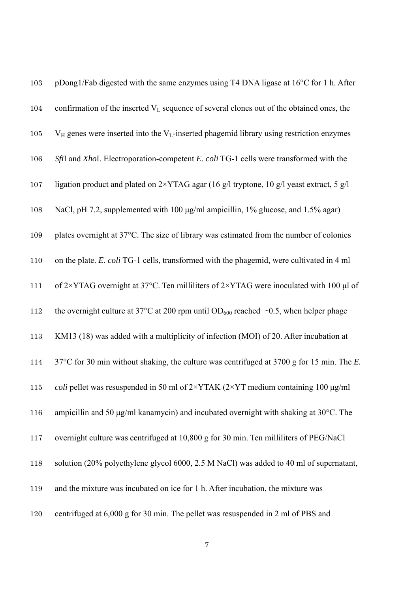| 103 | pDong1/Fab digested with the same enzymes using T4 DNA ligase at 16°C for 1 h. After                          |
|-----|---------------------------------------------------------------------------------------------------------------|
| 104 | confirmation of the inserted V <sub>L</sub> sequence of several clones out of the obtained ones, the          |
| 105 | $V_H$ genes were inserted into the $V_L$ -inserted phagemid library using restriction enzymes                 |
| 106 | Sfil and XhoI. Electroporation-competent E. coli TG-1 cells were transformed with the                         |
| 107 | ligation product and plated on $2\times$ YTAG agar (16 g/l tryptone, 10 g/l yeast extract, 5 g/l              |
| 108 | NaCl, pH 7.2, supplemented with 100 µg/ml ampicillin, 1% glucose, and 1.5% agar)                              |
| 109 | plates overnight at 37°C. The size of library was estimated from the number of colonies                       |
| 110 | on the plate. E. coli TG-1 cells, transformed with the phagemid, were cultivated in 4 ml                      |
| 111 | of $2\times$ YTAG overnight at 37°C. Ten milliliters of $2\times$ YTAG were inoculated with 100 µl of         |
| 112 | the overnight culture at 37°C at 200 rpm until OD <sub>600</sub> reached ~0.5, when helper phage              |
| 113 | KM13 (18) was added with a multiplicity of infection (MOI) of 20. After incubation at                         |
| 114 | 37°C for 30 min without shaking, the culture was centrifuged at 3700 g for 15 min. The E.                     |
| 115 | <i>coli</i> pellet was resuspended in 50 ml of $2\times$ YTAK ( $2\times$ YT medium containing 100 $\mu$ g/ml |
| 116 | ampicillin and 50 μg/ml kanamycin) and incubated overnight with shaking at 30°C. The                          |
| 117 | overnight culture was centrifuged at 10,800 g for 30 min. Ten milliliters of PEG/NaCl                         |
| 118 | solution (20% polyethylene glycol 6000, 2.5 M NaCl) was added to 40 ml of supernatant,                        |
| 119 | and the mixture was incubated on ice for 1 h. After incubation, the mixture was                               |
| 120 | centrifuged at 6,000 g for 30 min. The pellet was resuspended in 2 ml of PBS and                              |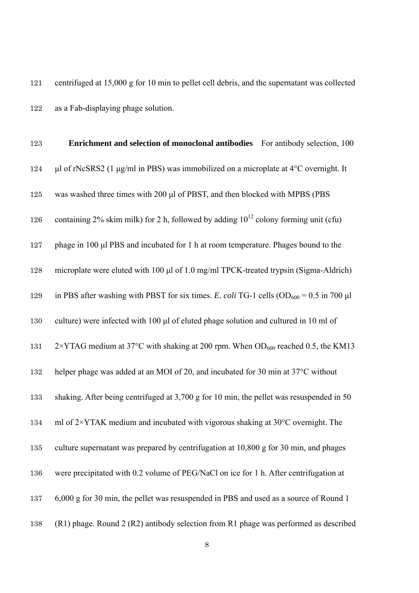centrifuged at 15,000 g for 10 min to pellet cell debris, and the supernatant was collected as a Fab-displaying phage solution.

| 123     | <b>Enrichment and selection of monoclonal antibodies</b> For antibody selection, 100                |
|---------|-----------------------------------------------------------------------------------------------------|
| 124     | μl of rNcSRS2 (1 μg/ml in PBS) was immobilized on a microplate at $4^{\circ}$ C overnight. It       |
| 125     | was washed three times with 200 µl of PBST, and then blocked with MPBS (PBS                         |
| 126     | containing 2% skim milk) for 2 h, followed by adding $10^{12}$ colony forming unit (cfu)            |
| 127     | phage in 100 µl PBS and incubated for 1 h at room temperature. Phages bound to the                  |
| 128     | microplate were eluted with 100 µl of 1.0 mg/ml TPCK-treated trypsin (Sigma-Aldrich)                |
| 129     | in PBS after washing with PBST for six times. E. coli TG-1 cells ( $OD_{600} = 0.5$ in 700 µl       |
| $130\,$ | culture) were infected with 100 µl of eluted phage solution and cultured in 10 ml of                |
| 131     | $2\times$ YTAG medium at 37°C with shaking at 200 rpm. When OD <sub>600</sub> reached 0.5, the KM13 |
| 132     | helper phage was added at an MOI of 20, and incubated for 30 min at 37°C without                    |
| 133     | shaking. After being centrifuged at 3,700 g for 10 min, the pellet was resuspended in 50            |
| 134     | ml of $2\times$ YTAK medium and incubated with vigorous shaking at $30^{\circ}$ C overnight. The    |
| 135     | culture supernatant was prepared by centrifugation at 10,800 g for 30 min, and phages               |
| 136     | were precipitated with 0.2 volume of PEG/NaCl on ice for 1 h. After centrifugation at               |
| 137     | 6,000 g for 30 min, the pellet was resuspended in PBS and used as a source of Round 1               |
| 138     | (R1) phage. Round 2 (R2) antibody selection from R1 phage was performed as described                |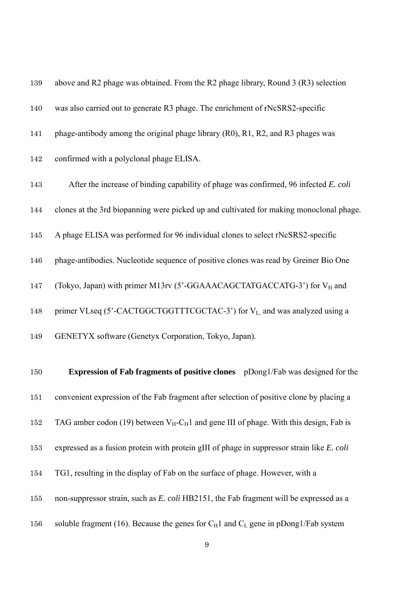| 139 | above and R2 phage was obtained. From the R2 phage library, Round 3 (R3) selection                   |
|-----|------------------------------------------------------------------------------------------------------|
| 140 | was also carried out to generate R3 phage. The enrichment of rNcSRS2-specific                        |
| 141 | phage-antibody among the original phage library (R0), R1, R2, and R3 phages was                      |
| 142 | confirmed with a polyclonal phage ELISA.                                                             |
| 143 | After the increase of binding capability of phage was confirmed, 96 infected E. coli                 |
| 144 | clones at the 3rd biopanning were picked up and cultivated for making monoclonal phage.              |
| 145 | A phage ELISA was performed for 96 individual clones to select rNcSRS2-specific                      |
| 146 | phage-antibodies. Nucleotide sequence of positive clones was read by Greiner Bio One                 |
| 147 | (Tokyo, Japan) with primer M13rv (5'-GGAAACAGCTATGACCATG-3') for VH and                              |
| 148 | primer VLseq (5'-CACTGGCTGGTTTCGCTAC-3') for V <sub>L</sub> and was analyzed using a                 |
| 149 | GENETYX software (Genetyx Corporation, Tokyo, Japan).                                                |
| 150 | <b>Expression of Fab fragments of positive clones</b> pDong1/Fab was designed for the                |
| 151 | convenient expression of the Fab fragment after selection of positive clone by placing a             |
| 152 | TAG amber codon (19) between $V_H$ -C <sub>H</sub> 1 and gene III of phage. With this design, Fab is |
| 153 | expressed as a fusion protein with protein gIII of phage in suppressor strain like E. coli           |
| 154 | TG1, resulting in the display of Fab on the surface of phage. However, with a                        |
| 155 | non-suppressor strain, such as E. coli HB2151, the Fab fragment will be expressed as a               |
| 156 | soluble fragment (16). Because the genes for $C_H1$ and $C_L$ gene in pDong1/Fab system              |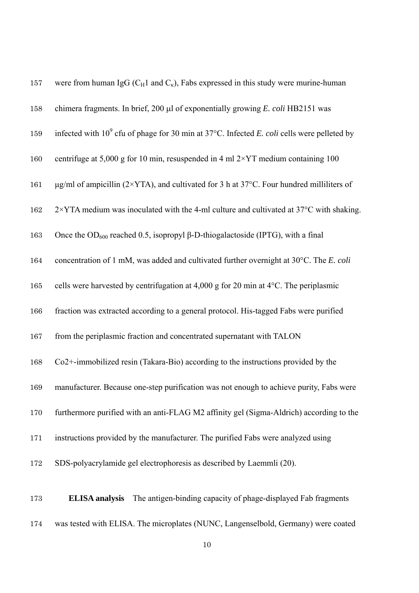| 157 | were from human IgG ( $C_H1$ and $C_K$ ), Fabs expressed in this study were murine-human                      |
|-----|---------------------------------------------------------------------------------------------------------------|
| 158 | chimera fragments. In brief, 200 µl of exponentially growing E. coli HB2151 was                               |
| 159 | infected with $10^9$ cfu of phage for 30 min at 37°C. Infected E. coli cells were pelleted by                 |
| 160 | centrifuge at 5,000 g for 10 min, resuspended in 4 ml $2\times$ YT medium containing 100                      |
| 161 | $\mu$ g/ml of ampicillin (2×YTA), and cultivated for 3 h at 37°C. Four hundred milliliters of                 |
| 162 | $2\times$ YTA medium was inoculated with the 4-ml culture and cultivated at 37 $\rm{^{\circ}C}$ with shaking. |
| 163 | Once the OD <sub>600</sub> reached 0.5, isopropyl $\beta$ -D-thiogalactoside (IPTG), with a final             |
| 164 | concentration of 1 mM, was added and cultivated further overnight at 30°C. The E. coli                        |
| 165 | cells were harvested by centrifugation at 4,000 g for 20 min at 4°C. The periplasmic                          |
| 166 | fraction was extracted according to a general protocol. His-tagged Fabs were purified                         |
| 167 | from the periplasmic fraction and concentrated supernatant with TALON                                         |
| 168 | Co2+-immobilized resin (Takara-Bio) according to the instructions provided by the                             |
| 169 | manufacturer. Because one-step purification was not enough to achieve purity, Fabs were                       |
| 170 | furthermore purified with an anti-FLAG M2 affinity gel (Sigma-Aldrich) according to the                       |
| 171 | instructions provided by the manufacturer. The purified Fabs were analyzed using                              |
| 172 | SDS-polyacrylamide gel electrophoresis as described by Laemmli (20).                                          |
| 173 | <b>ELISA</b> analysis<br>The antigen-binding capacity of phage-displayed Fab fragments                        |
| 174 | was tested with ELISA. The microplates (NUNC, Langenselbold, Germany) were coated                             |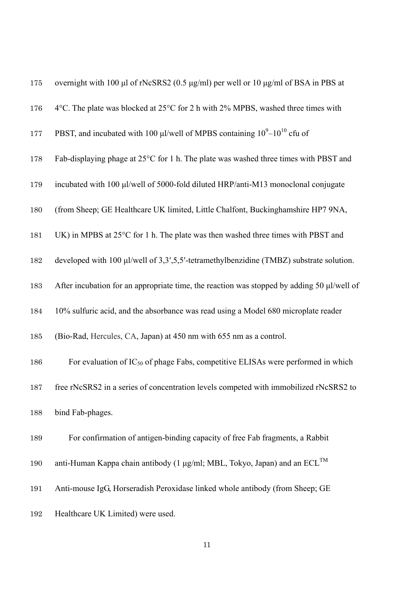| 175 | overnight with 100 μl of rNcSRS2 (0.5 μg/ml) per well or 10 μg/ml of BSA in PBS at         |
|-----|--------------------------------------------------------------------------------------------|
| 176 | 4°C. The plate was blocked at $25^{\circ}$ C for 2 h with 2% MPBS, washed three times with |
| 177 | PBST, and incubated with 100 µl/well of MPBS containing $10^9-10^{10}$ cfu of              |
| 178 | Fab-displaying phage at 25°C for 1 h. The plate was washed three times with PBST and       |
| 179 | incubated with 100 µl/well of 5000-fold diluted HRP/anti-M13 monoclonal conjugate          |
| 180 | (from Sheep; GE Healthcare UK limited, Little Chalfont, Buckinghamshire HP7 9NA,           |
| 181 | UK) in MPBS at 25°C for 1 h. The plate was then washed three times with PBST and           |
| 182 | developed with 100 µl/well of 3,3',5,5'-tetramethylbenzidine (TMBZ) substrate solution.    |
| 183 | After incubation for an appropriate time, the reaction was stopped by adding 50 µl/well of |
| 184 | 10% sulfuric acid, and the absorbance was read using a Model 680 microplate reader         |
| 185 | (Bio-Rad, Hercules, CA, Japan) at 450 nm with 655 nm as a control.                         |
| 186 | For evaluation of $IC_{50}$ of phage Fabs, competitive ELISAs were performed in which      |
| 187 | free rNcSRS2 in a series of concentration levels competed with immobilized rNcSRS2 to      |
| 188 | bind Fab-phages.                                                                           |
| 189 | For confirmation of antigen-binding capacity of free Fab fragments, a Rabbit               |
| 190 | anti-Human Kappa chain antibody (1 µg/ml; MBL, Tokyo, Japan) and an ECL <sup>TM</sup>      |
| 191 | Anti-mouse IgG, Horseradish Peroxidase linked whole antibody (from Sheep; GE               |
| 192 | Healthcare UK Limited) were used.                                                          |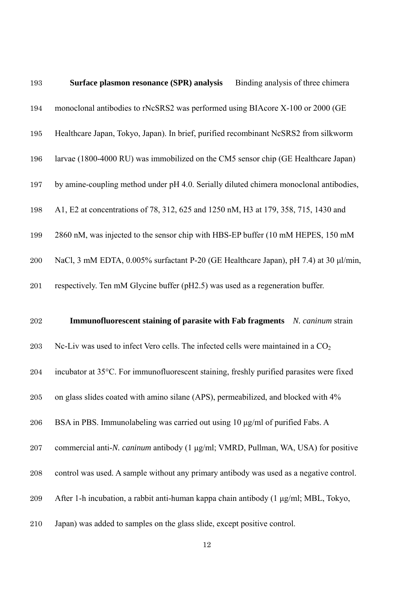| 193     | Surface plasmon resonance (SPR) analysis<br>Binding analysis of three chimera              |
|---------|--------------------------------------------------------------------------------------------|
| 194     | monoclonal antibodies to rNcSRS2 was performed using BIAcore X-100 or 2000 (GE             |
| 195     | Healthcare Japan, Tokyo, Japan). In brief, purified recombinant NcSRS2 from silkworm       |
| 196     | larvae (1800-4000 RU) was immobilized on the CM5 sensor chip (GE Healthcare Japan)         |
| 197     | by amine-coupling method under pH 4.0. Serially diluted chimera monoclonal antibodies,     |
| 198     | A1, E2 at concentrations of 78, 312, 625 and 1250 nM, H3 at 179, 358, 715, 1430 and        |
| 199     | 2860 nM, was injected to the sensor chip with HBS-EP buffer (10 mM HEPES, 150 mM           |
| 200     | NaCl, 3 mM EDTA, 0.005% surfactant P-20 (GE Healthcare Japan), pH 7.4) at 30 µl/min,       |
| 201     | respectively. Ten mM Glycine buffer (pH2.5) was used as a regeneration buffer.             |
|         |                                                                                            |
| 202     | Immunofluorescent staining of parasite with Fab fragments N. caninum strain                |
| $\,203$ | Nc-Liv was used to infect Vero cells. The infected cells were maintained in a $CO2$        |
| 204     | incubator at 35°C. For immunofluorescent staining, freshly purified parasites were fixed   |
| 205     | on glass slides coated with amino silane (APS), permeabilized, and blocked with 4%         |
| $\,206$ | BSA in PBS. Immunolabeling was carried out using 10 µg/ml of purified Fabs. A              |
| $207\,$ | commercial anti- <i>N. caninum</i> antibody (1 μg/ml; VMRD, Pullman, WA, USA) for positive |
| 208     | control was used. A sample without any primary antibody was used as a negative control.    |
| $\,209$ | After 1-h incubation, a rabbit anti-human kappa chain antibody (1 µg/ml; MBL, Tokyo,       |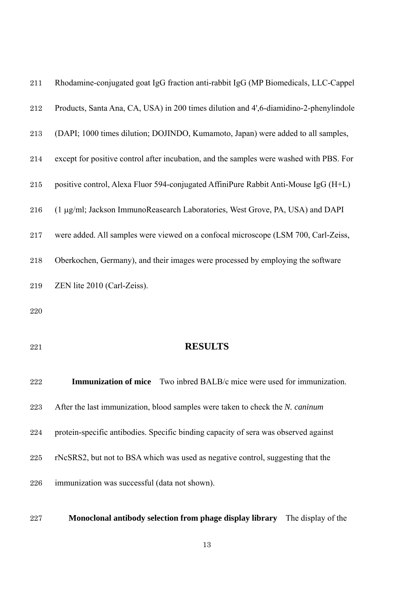| Products, Santa Ana, CA, USA) in 200 times dilution and 4',6-diamidino-2-phenylindole<br>212<br>(DAPI; 1000 times dilution; DOJINDO, Kumamoto, Japan) were added to all samples,<br>213<br>except for positive control after incubation, and the samples were washed with PBS. For<br>214<br>positive control, Alexa Fluor 594-conjugated AffiniPure Rabbit Anti-Mouse IgG (H+L)<br>$215\,$<br>(1 μg/ml; Jackson ImmunoReasearch Laboratories, West Grove, PA, USA) and DAPI<br>216<br>were added. All samples were viewed on a confocal microscope (LSM 700, Carl-Zeiss,<br>$217\,$<br>Oberkochen, Germany), and their images were processed by employing the software<br>218<br>ZEN lite 2010 (Carl-Zeiss).<br>219<br>220 |  |
|-----------------------------------------------------------------------------------------------------------------------------------------------------------------------------------------------------------------------------------------------------------------------------------------------------------------------------------------------------------------------------------------------------------------------------------------------------------------------------------------------------------------------------------------------------------------------------------------------------------------------------------------------------------------------------------------------------------------------------|--|
|                                                                                                                                                                                                                                                                                                                                                                                                                                                                                                                                                                                                                                                                                                                             |  |
|                                                                                                                                                                                                                                                                                                                                                                                                                                                                                                                                                                                                                                                                                                                             |  |
|                                                                                                                                                                                                                                                                                                                                                                                                                                                                                                                                                                                                                                                                                                                             |  |
|                                                                                                                                                                                                                                                                                                                                                                                                                                                                                                                                                                                                                                                                                                                             |  |
|                                                                                                                                                                                                                                                                                                                                                                                                                                                                                                                                                                                                                                                                                                                             |  |
|                                                                                                                                                                                                                                                                                                                                                                                                                                                                                                                                                                                                                                                                                                                             |  |
|                                                                                                                                                                                                                                                                                                                                                                                                                                                                                                                                                                                                                                                                                                                             |  |
|                                                                                                                                                                                                                                                                                                                                                                                                                                                                                                                                                                                                                                                                                                                             |  |
|                                                                                                                                                                                                                                                                                                                                                                                                                                                                                                                                                                                                                                                                                                                             |  |
| <b>RESULTS</b><br>221                                                                                                                                                                                                                                                                                                                                                                                                                                                                                                                                                                                                                                                                                                       |  |
| <b>Immunization of mice</b><br>Two inbred BALB/c mice were used for immunization.<br>222                                                                                                                                                                                                                                                                                                                                                                                                                                                                                                                                                                                                                                    |  |
| After the last immunization, blood samples were taken to check the N. caninum<br>223                                                                                                                                                                                                                                                                                                                                                                                                                                                                                                                                                                                                                                        |  |
| protein-specific antibodies. Specific binding capacity of sera was observed against<br>224                                                                                                                                                                                                                                                                                                                                                                                                                                                                                                                                                                                                                                  |  |

- rNcSRS2, but not to BSA which was used as negative control, suggesting that the
- immunization was successful (data not shown).

**Monoclonal antibody selection from phage display library** The display of the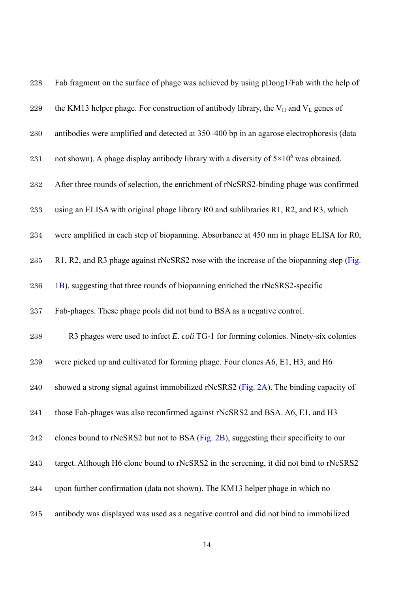| $228\,$ | Fab fragment on the surface of phage was achieved by using pDong1/Fab with the help of         |
|---------|------------------------------------------------------------------------------------------------|
| 229     | the KM13 helper phage. For construction of antibody library, the $V_H$ and $V_L$ genes of      |
| 230     | antibodies were amplified and detected at 350-400 bp in an agarose electrophoresis (data       |
| 231     | not shown). A phage display antibody library with a diversity of $5 \times 10^6$ was obtained. |
| 232     | After three rounds of selection, the enrichment of rNcSRS2-binding phage was confirmed         |
| 233     | using an ELISA with original phage library R0 and sublibraries R1, R2, and R3, which           |
| 234     | were amplified in each step of biopanning. Absorbance at 450 nm in phage ELISA for R0,         |
| 235     | R1, R2, and R3 phage against rNcSRS2 rose with the increase of the biopanning step (Fig.       |
| 236     | 1B), suggesting that three rounds of biopanning enriched the rNcSRS2-specific                  |
| 237     | Fab-phages. These phage pools did not bind to BSA as a negative control.                       |
| 238     | R3 phages were used to infect E. coli TG-1 for forming colonies. Ninety-six colonies           |
| 239     | were picked up and cultivated for forming phage. Four clones A6, E1, H3, and H6                |
| 240     | showed a strong signal against immobilized rNcSRS2 (Fig. 2A). The binding capacity of          |
| 241     | those Fab-phages was also reconfirmed against rNcSRS2 and BSA. A6, E1, and H3                  |
| 242     | clones bound to rNcSRS2 but not to BSA (Fig. 2B), suggesting their specificity to our          |
| 243     | target. Although H6 clone bound to rNcSRS2 in the screening, it did not bind to rNcSRS2        |
| 244     | upon further confirmation (data not shown). The KM13 helper phage in which no                  |
|         |                                                                                                |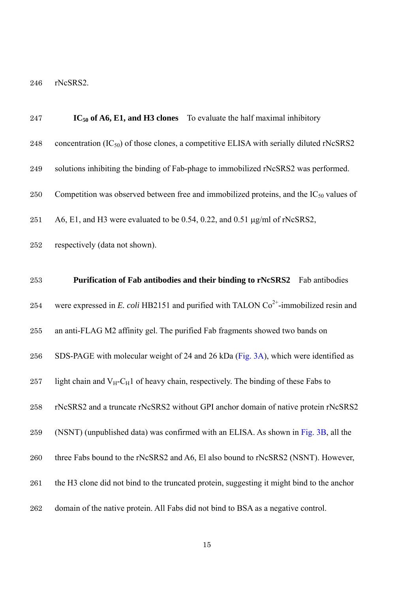rNcSRS2.

| 247     | $IC_{50}$ of A6, E1, and H3 clones To evaluate the half maximal inhibitory                         |
|---------|----------------------------------------------------------------------------------------------------|
| 248     | concentration $(IC_{50})$ of those clones, a competitive ELISA with serially diluted rNcSRS2       |
| 249     | solutions inhibiting the binding of Fab-phage to immobilized rNcSRS2 was performed.                |
| 250     | Competition was observed between free and immobilized proteins, and the $IC_{50}$ values of        |
| 251     | A6, E1, and H3 were evaluated to be 0.54, 0.22, and 0.51 $\mu$ g/ml of rNcSRS2,                    |
| 252     | respectively (data not shown).                                                                     |
| 253     | Purification of Fab antibodies and their binding to rNcSRS2<br>Fab antibodies                      |
| 254     | were expressed in E. coli HB2151 and purified with TALON $Co^{2+}$ -immobilized resin and          |
| 255     | an anti-FLAG M2 affinity gel. The purified Fab fragments showed two bands on                       |
| 256     | SDS-PAGE with molecular weight of 24 and 26 kDa (Fig. 3A), which were identified as                |
| 257     | light chain and $V_H$ -C <sub>H</sub> 1 of heavy chain, respectively. The binding of these Fabs to |
| 258     | rNcSRS2 and a truncate rNcSRS2 without GPI anchor domain of native protein rNcSRS2                 |
| $259\,$ | (NSNT) (unpublished data) was confirmed with an ELISA. As shown in Fig. 3B, all the                |
| 260     | three Fabs bound to the rNcSRS2 and A6, El also bound to rNcSRS2 (NSNT). However,                  |
| 261     | the H3 clone did not bind to the truncated protein, suggesting it might bind to the anchor         |
| 262     | domain of the native protein. All Fabs did not bind to BSA as a negative control.                  |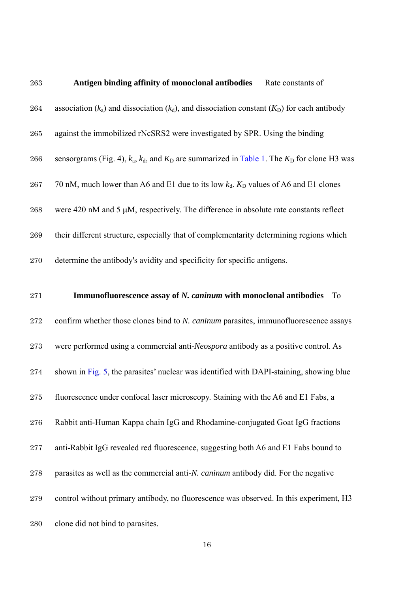| 263 | Antigen binding affinity of monoclonal antibodies<br>Rate constants of                                  |
|-----|---------------------------------------------------------------------------------------------------------|
| 264 | association ( $k_a$ ) and dissociation ( $k_d$ ), and dissociation constant ( $K_D$ ) for each antibody |
| 265 | against the immobilized rNcSRS2 were investigated by SPR. Using the binding                             |
| 266 | sensorgrams (Fig. 4), $k_a$ , $k_d$ , and $K_D$ are summarized in Table 1. The $K_D$ for clone H3 was   |
| 267 | 70 nM, much lower than A6 and E1 due to its low $k_d$ . $K_D$ values of A6 and E1 clones                |
| 268 | were 420 nM and 5 µM, respectively. The difference in absolute rate constants reflect                   |
| 269 | their different structure, especially that of complementarity determining regions which                 |
| 270 | determine the antibody's avidity and specificity for specific antigens.                                 |
|     |                                                                                                         |
| 271 | Immunofluorescence assay of N. caninum with monoclonal antibodies<br><b>To</b>                          |
| 272 | confirm whether those clones bind to N. caninum parasites, immunofluorescence assays                    |
| 273 | were performed using a commercial anti-Neospora antibody as a positive control. As                      |
| 274 | shown in Fig. 5, the parasites' nuclear was identified with DAPI-staining, showing blue                 |
| 275 | fluorescence under confocal laser microscopy. Staining with the A6 and E1 Fabs, a                       |
| 276 | Rabbit anti-Human Kappa chain IgG and Rhodamine-conjugated Goat IgG fractions                           |
| 277 | anti-Rabbit IgG revealed red fluorescence, suggesting both A6 and E1 Fabs bound to                      |
| 278 | parasites as well as the commercial anti-N. caninum antibody did. For the negative                      |
| 279 | control without primary antibody, no fluorescence was observed. In this experiment, H3                  |
| 280 | clone did not bind to parasites.                                                                        |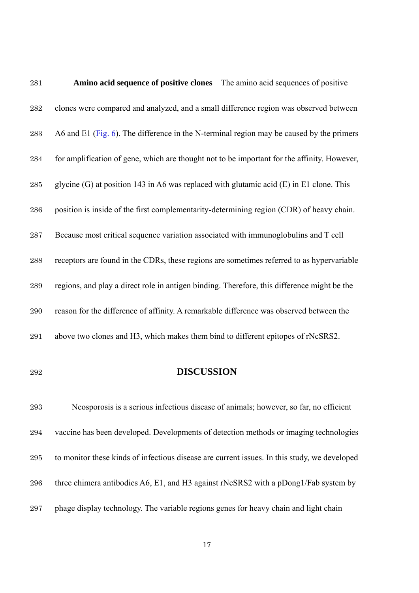| 281 | <b>Amino acid sequence of positive clones</b> The amino acid sequences of positive          |
|-----|---------------------------------------------------------------------------------------------|
| 282 | clones were compared and analyzed, and a small difference region was observed between       |
| 283 | A6 and E1 (Fig. 6). The difference in the N-terminal region may be caused by the primers    |
| 284 | for amplification of gene, which are thought not to be important for the affinity. However, |
| 285 | glycine (G) at position 143 in A6 was replaced with glutamic acid (E) in E1 clone. This     |
| 286 | position is inside of the first complementarity-determining region (CDR) of heavy chain.    |
| 287 | Because most critical sequence variation associated with immunoglobulins and T cell         |
| 288 | receptors are found in the CDRs, these regions are sometimes referred to as hypervariable   |
| 289 | regions, and play a direct role in antigen binding. Therefore, this difference might be the |
| 290 | reason for the difference of affinity. A remarkable difference was observed between the     |
| 291 | above two clones and H3, which makes them bind to different epitopes of rNcSRS2.            |

#### **DISCUSSION**

Neosporosis is a serious infectious disease of animals; however, so far, no efficient vaccine has been developed. Developments of detection methods or imaging technologies to monitor these kinds of infectious disease are current issues. In this study, we developed three chimera antibodies A6, E1, and H3 against rNcSRS2 with a pDong1/Fab system by phage display technology. The variable regions genes for heavy chain and light chain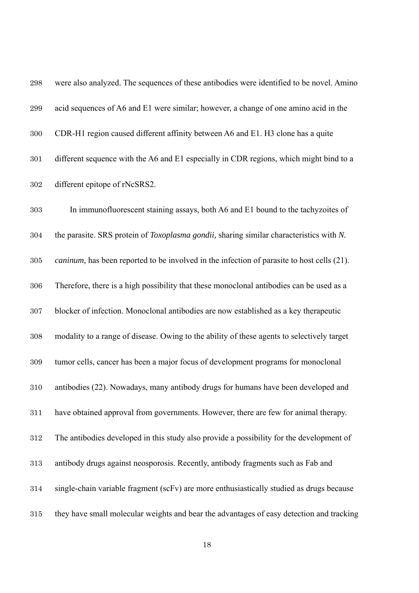| $\boldsymbol{298}$ | were also analyzed. The sequences of these antibodies were identified to be novel. Amino           |
|--------------------|----------------------------------------------------------------------------------------------------|
| 299                | acid sequences of A6 and E1 were similar; however, a change of one amino acid in the               |
| 300                | CDR-H1 region caused different affinity between A6 and E1. H3 clone has a quite                    |
| 301                | different sequence with the A6 and E1 especially in CDR regions, which might bind to a             |
| 302                | different epitope of rNcSRS2.                                                                      |
| 303                | In immunofluorescent staining assays, both A6 and E1 bound to the tachyzoites of                   |
| 304                | the parasite. SRS protein of <i>Toxoplasma gondii</i> , sharing similar characteristics with N.    |
| 305                | <i>caninum</i> , has been reported to be involved in the infection of parasite to host cells (21). |
| 306                | Therefore, there is a high possibility that these monoclonal antibodies can be used as a           |
| $307\,$            | blocker of infection. Monoclonal antibodies are now established as a key therapeutic               |
| 308                | modality to a range of disease. Owing to the ability of these agents to selectively target         |
| 309                | tumor cells, cancer has been a major focus of development programs for monoclonal                  |
| 310                | antibodies (22). Nowadays, many antibody drugs for humans have been developed and                  |
| 311                | have obtained approval from governments. However, there are few for animal therapy.                |
| 312                | The antibodies developed in this study also provide a possibility for the development of           |
| 313                | antibody drugs against neosporosis. Recently, antibody fragments such as Fab and                   |
| 314                | single-chain variable fragment (scFv) are more enthusiastically studied as drugs because           |
| 315                | they have small molecular weights and bear the advantages of easy detection and tracking           |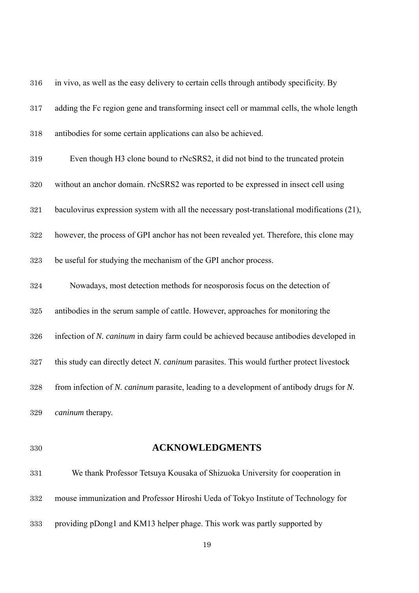| 316 | in vivo, as well as the easy delivery to certain cells through antibody specificity. By     |
|-----|---------------------------------------------------------------------------------------------|
| 317 | adding the Fc region gene and transforming insect cell or mammal cells, the whole length    |
| 318 | antibodies for some certain applications can also be achieved.                              |
| 319 | Even though H3 clone bound to rNcSRS2, it did not bind to the truncated protein             |
| 320 | without an anchor domain. rNcSRS2 was reported to be expressed in insect cell using         |
| 321 | baculovirus expression system with all the necessary post-translational modifications (21), |
| 322 | however, the process of GPI anchor has not been revealed yet. Therefore, this clone may     |
| 323 | be useful for studying the mechanism of the GPI anchor process.                             |
| 324 | Nowadays, most detection methods for neosporosis focus on the detection of                  |
| 325 | antibodies in the serum sample of cattle. However, approaches for monitoring the            |
| 326 | infection of N. caninum in dairy farm could be achieved because antibodies developed in     |
| 327 | this study can directly detect N. caninum parasites. This would further protect livestock   |
| 328 | from infection of N. caninum parasite, leading to a development of antibody drugs for N.    |
| 329 | caninum therapy.                                                                            |

## **ACKNOWLEDGMENTS**

| 331 | We thank Professor Tetsuya Kousaka of Shizuoka University for cooperation in       |
|-----|------------------------------------------------------------------------------------|
| 332 | mouse immunization and Professor Hiroshi Ueda of Tokyo Institute of Technology for |
| 333 | providing pDong1 and KM13 helper phage. This work was partly supported by          |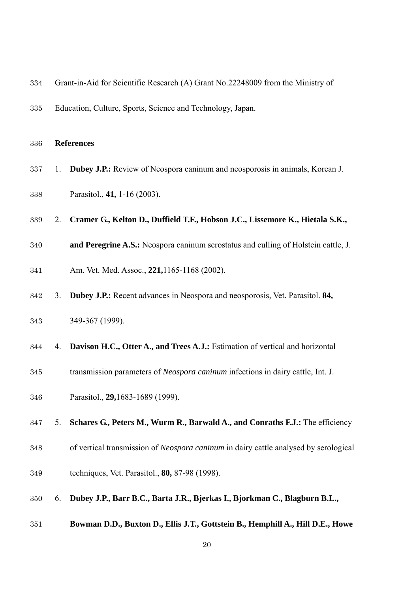| 334 |    | Grant-in-Aid for Scientific Research (A) Grant No.22248009 from the Ministry of      |
|-----|----|--------------------------------------------------------------------------------------|
| 335 |    | Education, Culture, Sports, Science and Technology, Japan.                           |
| 336 |    | <b>References</b>                                                                    |
| 337 | 1. | Dubey J.P.: Review of Neospora caninum and neosporosis in animals, Korean J.         |
| 338 |    | Parasitol., 41, 1-16 (2003).                                                         |
| 339 | 2. | Cramer G., Kelton D., Duffield T.F., Hobson J.C., Lissemore K., Hietala S.K.,        |
| 340 |    | and Peregrine A.S.: Neospora caninum serostatus and culling of Holstein cattle, J.   |
| 341 |    | Am. Vet. Med. Assoc., 221,1165-1168 (2002).                                          |
| 342 | 3. | Dubey J.P.: Recent advances in Neospora and neosporosis, Vet. Parasitol. 84,         |
| 343 |    | 349-367 (1999).                                                                      |
| 344 | 4. | Davison H.C., Otter A., and Trees A.J.: Estimation of vertical and horizontal        |
| 345 |    | transmission parameters of Neospora caninum infections in dairy cattle, Int. J.      |
| 346 |    | Parasitol., 29,1683-1689 (1999).                                                     |
| 347 | 5. | Schares G., Peters M., Wurm R., Barwald A., and Conraths F.J.: The efficiency        |
| 348 |    | of vertical transmission of Neospora caninum in dairy cattle analysed by serological |
| 349 |    | techniques, Vet. Parasitol., 80, 87-98 (1998).                                       |
| 350 | 6. | Dubey J.P., Barr B.C., Barta J.R., Bjerkas I., Bjorkman C., Blagburn B.L.,           |
| 351 |    | Bowman D.D., Buxton D., Ellis J.T., Gottstein B., Hemphill A., Hill D.E., Howe       |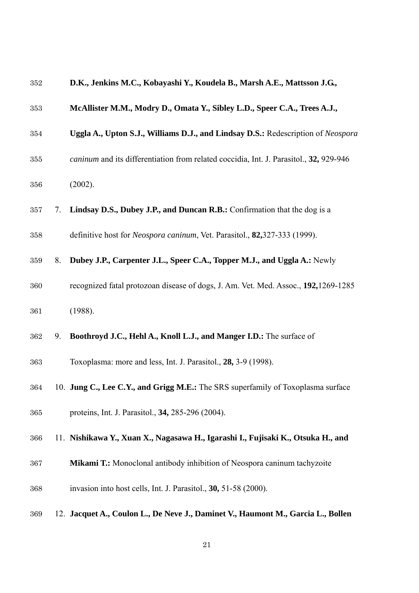| 352 |    | D.K., Jenkins M.C., Kobayashi Y., Koudela B., Marsh A.E., Mattsson J.G.,               |
|-----|----|----------------------------------------------------------------------------------------|
| 353 |    | McAllister M.M., Modry D., Omata Y., Sibley L.D., Speer C.A., Trees A.J.,              |
| 354 |    | Uggla A., Upton S.J., Williams D.J., and Lindsay D.S.: Redescription of Neospora       |
| 355 |    | caninum and its differentiation from related coccidia, Int. J. Parasitol., 32, 929-946 |
| 356 |    | (2002).                                                                                |
| 357 | 7. | Lindsay D.S., Dubey J.P., and Duncan R.B.: Confirmation that the dog is a              |
| 358 |    | definitive host for Neospora caninum, Vet. Parasitol., 82,327-333 (1999).              |
| 359 | 8. | Dubey J.P., Carpenter J.L., Speer C.A., Topper M.J., and Uggla A.: Newly               |
| 360 |    | recognized fatal protozoan disease of dogs, J. Am. Vet. Med. Assoc., 192,1269-1285     |
| 361 |    | (1988).                                                                                |
| 362 | 9. | Boothroyd J.C., Hehl A., Knoll L.J., and Manger I.D.: The surface of                   |
| 363 |    | Toxoplasma: more and less, Int. J. Parasitol., 28, 3-9 (1998).                         |
| 364 |    | 10. Jung C., Lee C.Y., and Grigg M.E.: The SRS superfamily of Toxoplasma surface       |
| 365 |    | proteins, Int. J. Parasitol., 34, 285-296 (2004).                                      |
| 366 |    | 11. Nishikawa Y., Xuan X., Nagasawa H., Igarashi I., Fujisaki K., Otsuka H., and       |
| 367 |    | Mikami T.: Monoclonal antibody inhibition of Neospora caninum tachyzoite               |
| 368 |    | invasion into host cells, Int. J. Parasitol., 30, 51-58 (2000).                        |
| 369 |    | 12. Jacquet A., Coulon L., De Neve J., Daminet V., Haumont M., Garcia L., Bollen       |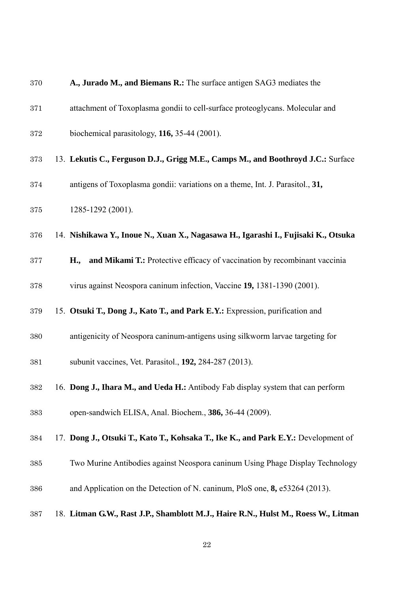| 370 | A., Jurado M., and Biemans R.: The surface antigen SAG3 mediates the               |
|-----|------------------------------------------------------------------------------------|
| 371 | attachment of Toxoplasma gondii to cell-surface proteoglycans. Molecular and       |
| 372 | biochemical parasitology, $116$ , 35-44 (2001).                                    |
| 373 | 13. Lekutis C., Ferguson D.J., Grigg M.E., Camps M., and Boothroyd J.C.: Surface   |
| 374 | antigens of Toxoplasma gondii: variations on a theme, Int. J. Parasitol., 31,      |
| 375 | 1285-1292 (2001).                                                                  |
| 376 | 14. Nishikawa Y., Inoue N., Xuan X., Nagasawa H., Igarashi I., Fujisaki K., Otsuka |
| 377 | and Mikami T.: Protective efficacy of vaccination by recombinant vaccinia<br>H.,   |
| 378 | virus against Neospora caninum infection, Vaccine 19, 1381-1390 (2001).            |
| 379 | 15. Otsuki T., Dong J., Kato T., and Park E.Y.: Expression, purification and       |
| 380 | antigenicity of Neospora caninum-antigens using silkworm larvae targeting for      |
| 381 | subunit vaccines, Vet. Parasitol., 192, 284-287 (2013).                            |
| 382 | 16. Dong J., Ihara M., and Ueda H.: Antibody Fab display system that can perform   |
| 383 | open-sandwich ELISA, Anal. Biochem., 386, 36-44 (2009).                            |
| 384 | 17. Dong J., Otsuki T., Kato T., Kohsaka T., Ike K., and Park E.Y.: Development of |
| 385 | Two Murine Antibodies against Neospora caninum Using Phage Display Technology      |
| 386 | and Application on the Detection of N. caninum, PloS one, 8, e53264 (2013).        |
| 387 | 18. Litman G.W., Rast J.P., Shamblott M.J., Haire R.N., Hulst M., Roess W., Litman |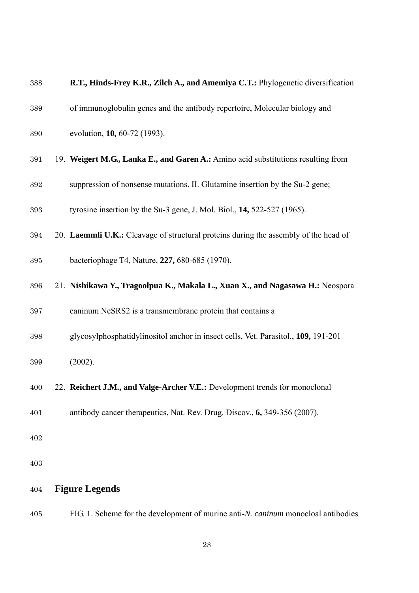| 388 | R.T., Hinds-Frey K.R., Zilch A., and Amemiya C.T.: Phylogenetic diversification      |
|-----|--------------------------------------------------------------------------------------|
| 389 | of immunoglobulin genes and the antibody repertoire, Molecular biology and           |
| 390 | evolution, 10, 60-72 (1993).                                                         |
| 391 | 19. Weigert M.G., Lanka E., and Garen A.: Amino acid substitutions resulting from    |
| 392 | suppression of nonsense mutations. II. Glutamine insertion by the Su-2 gene;         |
| 393 | tyrosine insertion by the Su-3 gene, J. Mol. Biol., 14, 522-527 (1965).              |
| 394 | 20. Laemmli U.K.: Cleavage of structural proteins during the assembly of the head of |
| 395 | bacteriophage T4, Nature, 227, 680-685 (1970).                                       |
| 396 | 21. Nishikawa Y., Tragoolpua K., Makala L., Xuan X., and Nagasawa H.: Neospora       |
| 397 | caninum NcSRS2 is a transmembrane protein that contains a                            |
| 398 | glycosylphosphatidylinositol anchor in insect cells, Vet. Parasitol., 109, 191-201   |
| 399 | (2002).                                                                              |
| 400 | 22. Reichert J.M., and Valge-Archer V.E.: Development trends for monoclonal          |
| 401 | antibody cancer therapeutics, Nat. Rev. Drug. Discov., 6, 349-356 (2007).            |
| 402 |                                                                                      |
| 403 |                                                                                      |
| 404 | <b>Figure Legends</b>                                                                |

FIG. 1. Scheme for the development of murine anti-*N. caninum* monocloal antibodies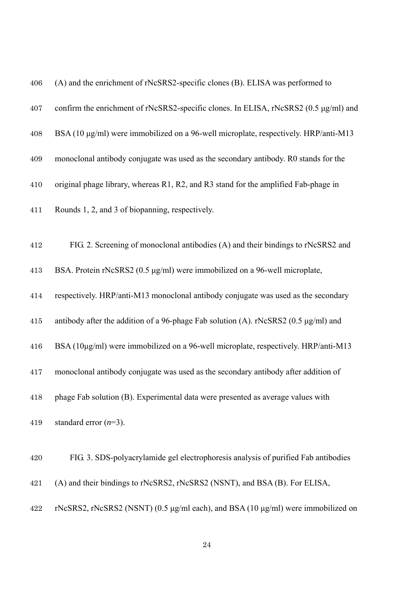| 406 | (A) and the enrichment of rNcSRS2-specific clones (B). ELISA was performed to            |
|-----|------------------------------------------------------------------------------------------|
| 407 | confirm the enrichment of rNcSRS2-specific clones. In ELISA, rNcSRS2 (0.5 µg/ml) and     |
| 408 | BSA (10 µg/ml) were immobilized on a 96-well microplate, respectively. HRP/anti-M13      |
| 409 | monoclonal antibody conjugate was used as the secondary antibody. R0 stands for the      |
| 410 | original phage library, whereas R1, R2, and R3 stand for the amplified Fab-phage in      |
| 411 | Rounds 1, 2, and 3 of biopanning, respectively.                                          |
| 412 | FIG. 2. Screening of monoclonal antibodies (A) and their bindings to rNcSRS2 and         |
| 413 | BSA. Protein rNcSRS2 (0.5 µg/ml) were immobilized on a 96-well microplate,               |
| 414 | respectively. HRP/anti-M13 monoclonal antibody conjugate was used as the secondary       |
| 415 | antibody after the addition of a 96-phage Fab solution (A). rNcSRS2 (0.5 $\mu$ g/ml) and |
| 416 | BSA (10µg/ml) were immobilized on a 96-well microplate, respectively. HRP/anti-M13       |
| 417 | monoclonal antibody conjugate was used as the secondary antibody after addition of       |
| 418 | phage Fab solution (B). Experimental data were presented as average values with          |
| 419 | standard error $(n=3)$ .                                                                 |
| 420 | FIG. 3. SDS-polyacrylamide gel electrophoresis analysis of purified Fab antibodies       |
| 421 | (A) and their bindings to rNcSRS2, rNcSRS2 (NSNT), and BSA (B). For ELISA,               |
| 422 | rNcSRS2, rNcSRS2 (NSNT) (0.5 μg/ml each), and BSA (10 μg/ml) were immobilized on         |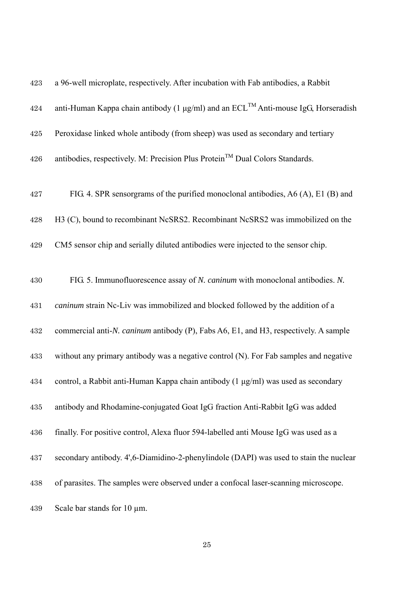| 423     | a 96-well microplate, respectively. After incubation with Fab antibodies, a Rabbit                  |
|---------|-----------------------------------------------------------------------------------------------------|
| 424     | anti-Human Kappa chain antibody (1 $\mu$ g/ml) and an ECL <sup>TM</sup> Anti-mouse IgG, Horseradish |
| $425\,$ | Peroxidase linked whole antibody (from sheep) was used as secondary and tertiary                    |
| 426     | antibodies, respectively. M: Precision Plus Protein <sup>™</sup> Dual Colors Standards.             |
| 427     | FIG. 4. SPR sensorgrams of the purified monoclonal antibodies, A6 (A), E1 (B) and                   |
| 428     | H3 (C), bound to recombinant NcSRS2. Recombinant NcSRS2 was immobilized on the                      |
| 429     | CM5 sensor chip and serially diluted antibodies were injected to the sensor chip.                   |
| 430     | FIG. 5. Immunofluorescence assay of N. caninum with monoclonal antibodies. N.                       |
| 431     | caninum strain Nc-Liv was immobilized and blocked followed by the addition of a                     |
| 432     | commercial anti-N. caninum antibody (P), Fabs A6, E1, and H3, respectively. A sample                |
| 433     | without any primary antibody was a negative control (N). For Fab samples and negative               |
| 434     | control, a Rabbit anti-Human Kappa chain antibody (1 µg/ml) was used as secondary                   |
| 435     | antibody and Rhodamine-conjugated Goat IgG fraction Anti-Rabbit IgG was added                       |
| 436     | finally. For positive control, Alexa fluor 594-labelled anti Mouse IgG was used as a                |
| 437     | secondary antibody. 4', 6-Diamidino-2-phenylindole (DAPI) was used to stain the nuclear             |
| 438     | of parasites. The samples were observed under a confocal laser-scanning microscope.                 |
| 439     | Scale bar stands for $10 \mu m$ .                                                                   |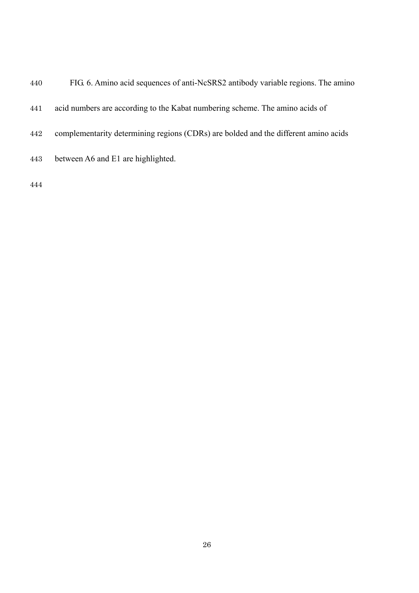- FIG. 6. Amino acid sequences of anti-NcSRS2 antibody variable regions. The amino
- acid numbers are according to the Kabat numbering scheme. The amino acids of
- complementarity determining regions (CDRs) are bolded and the different amino acids
- between A6 and E1 are highlighted.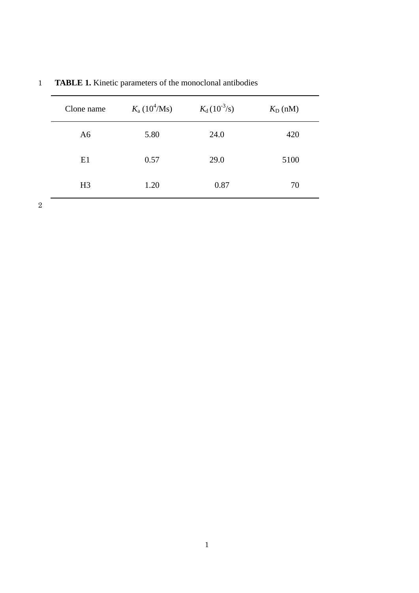| Clone name     | $K_a (10^4/Ms)$ | $K_{d}$ (10 <sup>-3</sup> /s) | $K_{\text{D}}$ (nM) |
|----------------|-----------------|-------------------------------|---------------------|
| A <sub>6</sub> | 5.80            | 24.0                          | 420                 |
| E1             | 0.57            | 29.0                          | 5100                |
| H <sub>3</sub> | 1.20            | 0.87                          | 70                  |

1 **TABLE 1.** Kinetic parameters of the monoclonal antibodies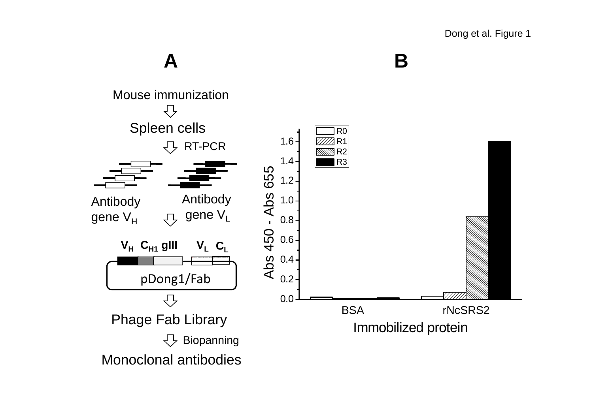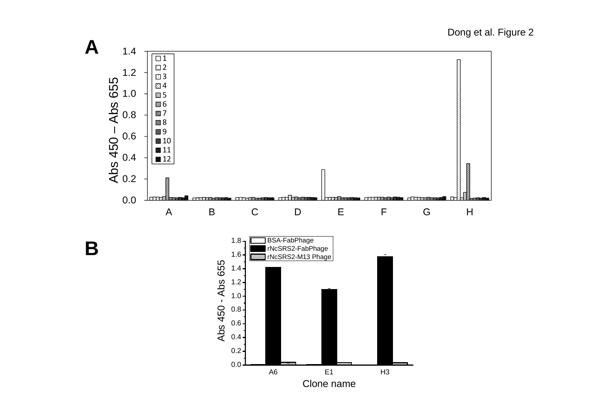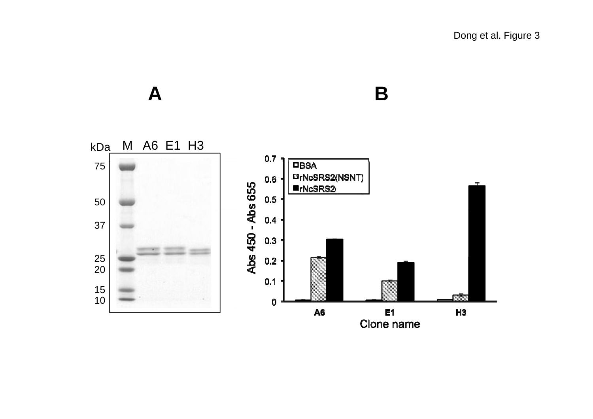Dong et al. Figure 3

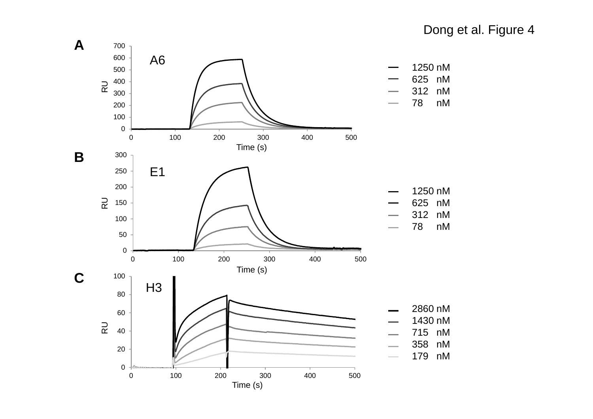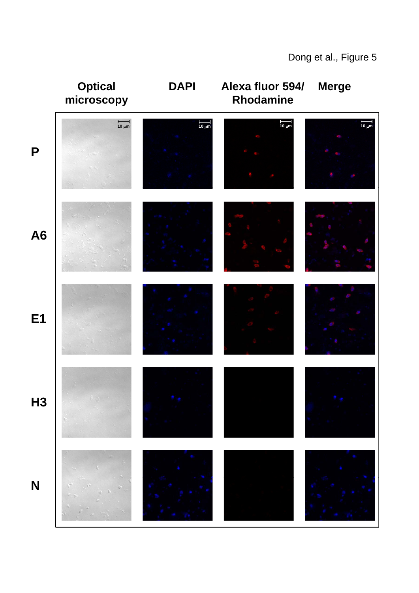